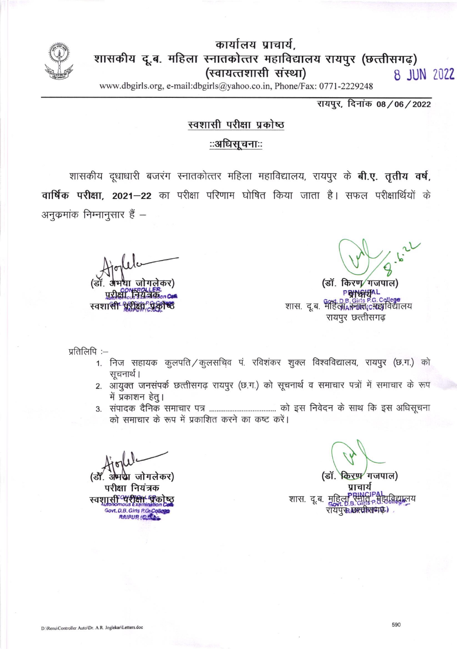

कार्यालय प्राचार्य, शासकीय दू.ब. महिला स्नातकोत्तर महाविद्यालय रायपुर (छत्तीसगढ़) (स्वायत्तशासी संस्था) 8 JUN 2022

www.dbgirls.org, e-mail:dbgirls@yahoo.co.in, Phone/Fax: 0771-2229248

रायपूर, दिनांक 08/06/2022

## स्वशासी परीक्षा प्रकोष्ठ

## ःअधिसूचनाःः

शासकीय दूधाधारी बजरंग स्नातकोत्तर महिला महाविद्यालय, रायपुर के **बी.ए. तृतीय वर्ष,** वार्षिक परीक्षा. 2021-22 का परीक्षा परिणाम घोषित किया जाता है। सफल परीक्षार्थियों के अनुकमांक निम्नानुसार हैं –

**। जोगलेकर)** पुरीक्षा स्वशासी पूरीक्षा प्रक्री ए

(डॉ. किरण∕गजपाल)

्देशः<br>व्याप्तः पुरुषः D.B.Girls P.G.College<br>शास. दू.ब. महिलाकालालादादस्त्राविद्यालय रायपुर छत्तीसगढ

प्रतिलिपि :-

- 1. निज सहायक कुलपति / कुलसचिव पं. रविशंकर शुक्ल विश्वविद्यालय, रायपुर (छ.ग.) को सचनार्थ ।
- 2. आयुक्त जनसंपर्क छत्तीसगढ़ रायपुर (छ.ग.) को सूचनार्थ व समाचार पत्रों में समाचार के रूप में प्रकाशन हेतू।
- को समाचार के रूप में प्रकाशित करने का कष्ट करें।

था जोगलेकर)

परीक्षा नियंत्रक स्वशासी परीक्षा पीक Govt. D.B. Girls P.G. **RAIRUR (CIRE)** 

किरप्प⁄ गजपाल) प्राचार्य शास. दू.ब. <u>महिल</u>ा **हा,विद्या**लय रायपु**रु कल्पीसव्यक्ष)**